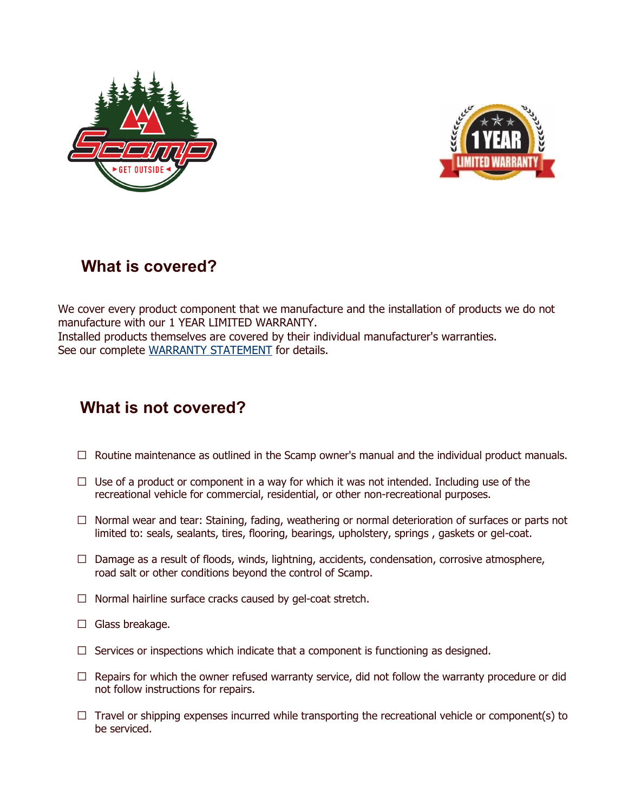



# **What is covered?**

We cover every product component that we manufacture and the installation of products we do not manufacture with our 1 YEAR LIMITED WARRANTY. Installed products themselves are covered by their individual manufacturer's warranties. See our complete WARRANTY STATEMENT for details.

# **What is not covered?**

- $\Box$  Routine maintenance as outlined in the Scamp owner's manual and the individual product manuals.
- $\Box$  Use of a product or component in a way for which it was not intended. Including use of the recreational vehicle for commercial, residential, or other non-recreational purposes.
- $\Box$  Normal wear and tear: Staining, fading, weathering or normal deterioration of surfaces or parts not limited to: seals, sealants, tires, flooring, bearings, upholstery, springs , gaskets or gel-coat.
- $\Box$  Damage as a result of floods, winds, lightning, accidents, condensation, corrosive atmosphere, road salt or other conditions beyond the control of Scamp.
- $\Box$  Normal hairline surface cracks caused by gel-coat stretch.
- $\Box$  Glass breakage.
- $\Box$  Services or inspections which indicate that a component is functioning as designed.
- $\Box$  Repairs for which the owner refused warranty service, did not follow the warranty procedure or did not follow instructions for repairs.
- $\Box$  Travel or shipping expenses incurred while transporting the recreational vehicle or component(s) to be serviced.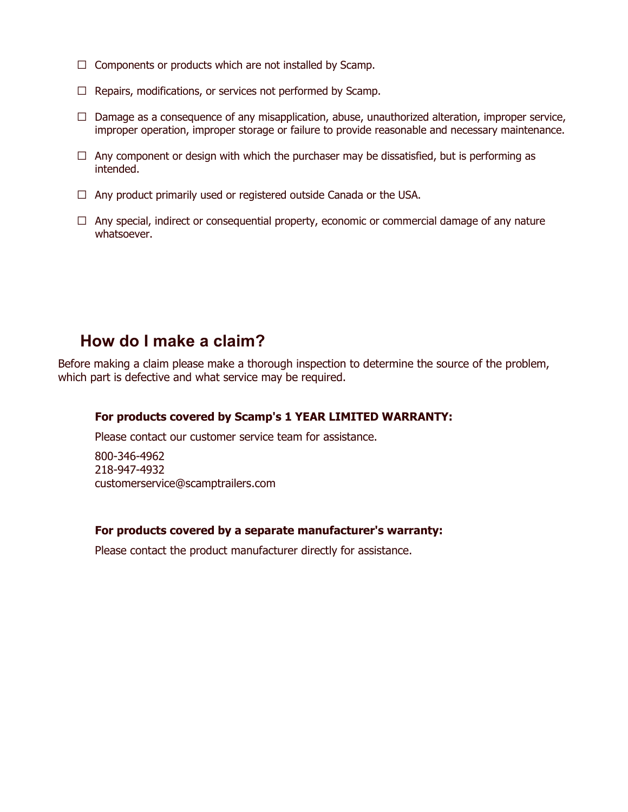- $\Box$  Components or products which are not installed by Scamp.
- $\Box$  Repairs, modifications, or services not performed by Scamp.
- $\Box$  Damage as a consequence of any misapplication, abuse, unauthorized alteration, improper service, improper operation, improper storage or failure to provide reasonable and necessary maintenance.
- $\Box$  Any component or design with which the purchaser may be dissatisfied, but is performing as intended.
- $\Box$  Any product primarily used or registered outside Canada or the USA.
- $\Box$  Any special, indirect or consequential property, economic or commercial damage of any nature whatsoever.

### **How do I make a claim?**

Before making a claim please make a thorough inspection to determine the source of the problem, which part is defective and what service may be required.

#### **For products covered by Scamp's 1 YEAR LIMITED WARRANTY:**

Please contact our customer service team for assistance.

800-346-4962 218-947-4932 customerservice@scamptrailers.com

#### **For products covered by a separate manufacturer's warranty:**

Please contact the product manufacturer directly for assistance.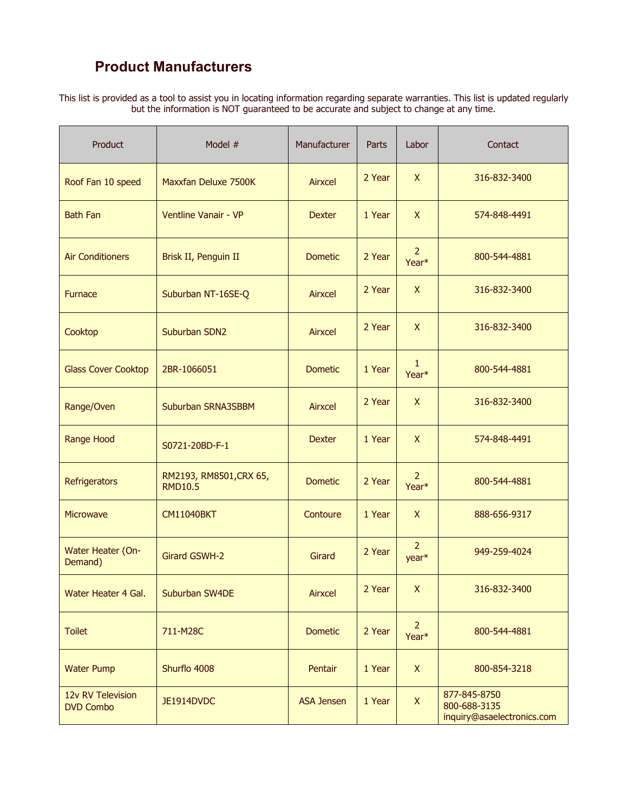## **Product Manufacturers**

This list is provided as a tool to assist you in locating information regarding separate warranties. This list is updated regularly but the information is NOT guaranteed to be accurate and subject to change at any time.

| Product                               | Model #                                   | Manufacturer      | Parts  | Labor                               | Contact                                                    |
|---------------------------------------|-------------------------------------------|-------------------|--------|-------------------------------------|------------------------------------------------------------|
| Roof Fan 10 speed                     | Maxxfan Deluxe 7500K                      | Airxcel           | 2 Year | $\mathsf{X}$                        | 316-832-3400                                               |
| <b>Bath Fan</b>                       | Ventline Vanair - VP                      | <b>Dexter</b>     | 1 Year | $\mathsf{X}$                        | 574-848-4491                                               |
| <b>Air Conditioners</b>               | Brisk II, Penguin II                      | <b>Dometic</b>    | 2 Year | 2<br>Year <sup>*</sup>              | 800-544-4881                                               |
| <b>Furnace</b>                        | Suburban NT-16SE-Q                        | Airxcel           | 2 Year | X                                   | 316-832-3400                                               |
| Cooktop                               | Suburban SDN2                             | Airxcel           | 2 Year | $\mathsf{X}$                        | 316-832-3400                                               |
| <b>Glass Cover Cooktop</b>            | 2BR-1066051                               | <b>Dometic</b>    | 1 Year | $\mathbf{1}$<br>Year*               | 800-544-4881                                               |
| Range/Oven                            | Suburban SRNA3SBBM                        | Airxcel           | 2 Year | $\mathsf{X}$                        | 316-832-3400                                               |
| <b>Range Hood</b>                     | S0721-20BD-F-1                            | <b>Dexter</b>     | 1 Year | $\mathsf{X}$                        | 574-848-4491                                               |
| Refrigerators                         | RM2193, RM8501, CRX 65,<br><b>RMD10.5</b> | <b>Dometic</b>    | 2 Year | $\overline{2}$<br>Year <sup>*</sup> | 800-544-4881                                               |
| Microwave                             | <b>CM11040BKT</b>                         | Contoure          | 1 Year | $\mathsf{X}$                        | 888-656-9317                                               |
| Water Heater (On-<br>Demand)          | Girard GSWH-2                             | Girard            | 2 Year | $\overline{2}$<br>year*             | 949-259-4024                                               |
| Water Heater 4 Gal.                   | Suburban SW4DE                            | Airxcel           | 2 Year | X                                   | 316-832-3400                                               |
| <b>Toilet</b>                         | 711-M28C                                  | <b>Dometic</b>    | 2 Year | $\overline{2}$<br>Year*             | 800-544-4881                                               |
| <b>Water Pump</b>                     | Shurflo 4008                              | Pentair           | 1 Year | $\mathsf{X}$                        | 800-854-3218                                               |
| 12v RV Television<br><b>DVD Combo</b> | JE1914DVDC                                | <b>ASA Jensen</b> | 1 Year | $\mathsf{X}$                        | 877-845-8750<br>800-688-3135<br>inquiry@asaelectronics.com |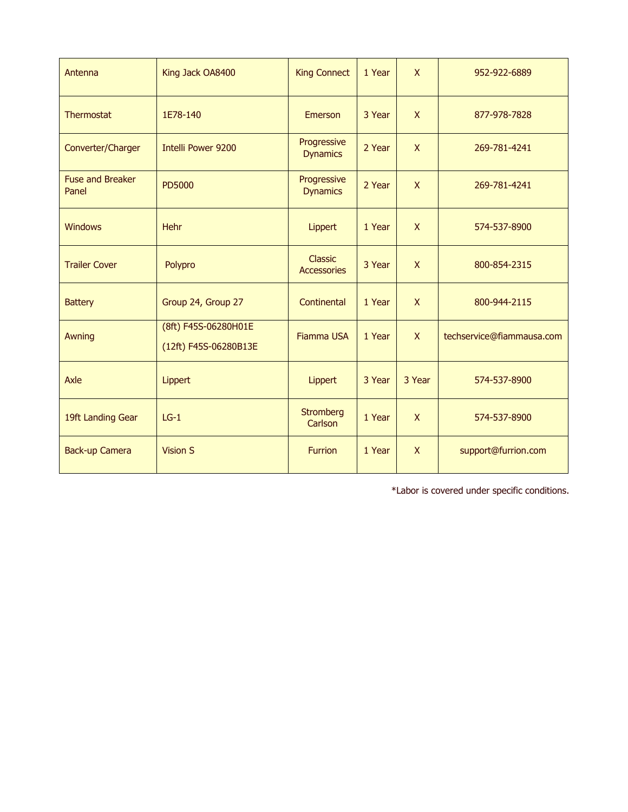| Antenna                          | King Jack OA8400                              | <b>King Connect</b>            | 1 Year | $\mathsf{X}$              | 952-922-6889              |
|----------------------------------|-----------------------------------------------|--------------------------------|--------|---------------------------|---------------------------|
| <b>Thermostat</b>                | 1E78-140                                      | Emerson                        | 3 Year | $\mathsf{X}$              | 877-978-7828              |
| Converter/Charger                | <b>Intelli Power 9200</b>                     | Progressive<br><b>Dynamics</b> | 2 Year | $\boldsymbol{\mathsf{X}}$ | 269-781-4241              |
| <b>Fuse and Breaker</b><br>Panel | <b>PD5000</b>                                 | Progressive<br><b>Dynamics</b> | 2 Year | $\mathsf{X}$              | 269-781-4241              |
| <b>Windows</b>                   | Hehr                                          | Lippert                        | 1 Year | $\mathsf{X}$              | 574-537-8900              |
| <b>Trailer Cover</b>             | Polypro                                       | Classic<br><b>Accessories</b>  | 3 Year | $\mathsf{X}$              | 800-854-2315              |
| <b>Battery</b>                   | Group 24, Group 27                            | Continental                    | 1 Year | $\mathsf{X}$              | 800-944-2115              |
| Awning                           | (8ft) F45S-06280H01E<br>(12ft) F45S-06280B13E | <b>Fiamma USA</b>              | 1 Year | $\mathsf{X}$              | techservice@fiammausa.com |
| Axle                             | Lippert                                       | Lippert                        | 3 Year | 3 Year                    | 574-537-8900              |
| 19ft Landing Gear                | $LG-1$                                        | <b>Stromberg</b><br>Carlson    | 1 Year | $\mathsf{X}$              | 574-537-8900              |
| <b>Back-up Camera</b>            | <b>Vision S</b>                               | <b>Furrion</b>                 | 1 Year | $\mathsf{X}$              | support@furrion.com       |

\*Labor is covered under specific conditions.